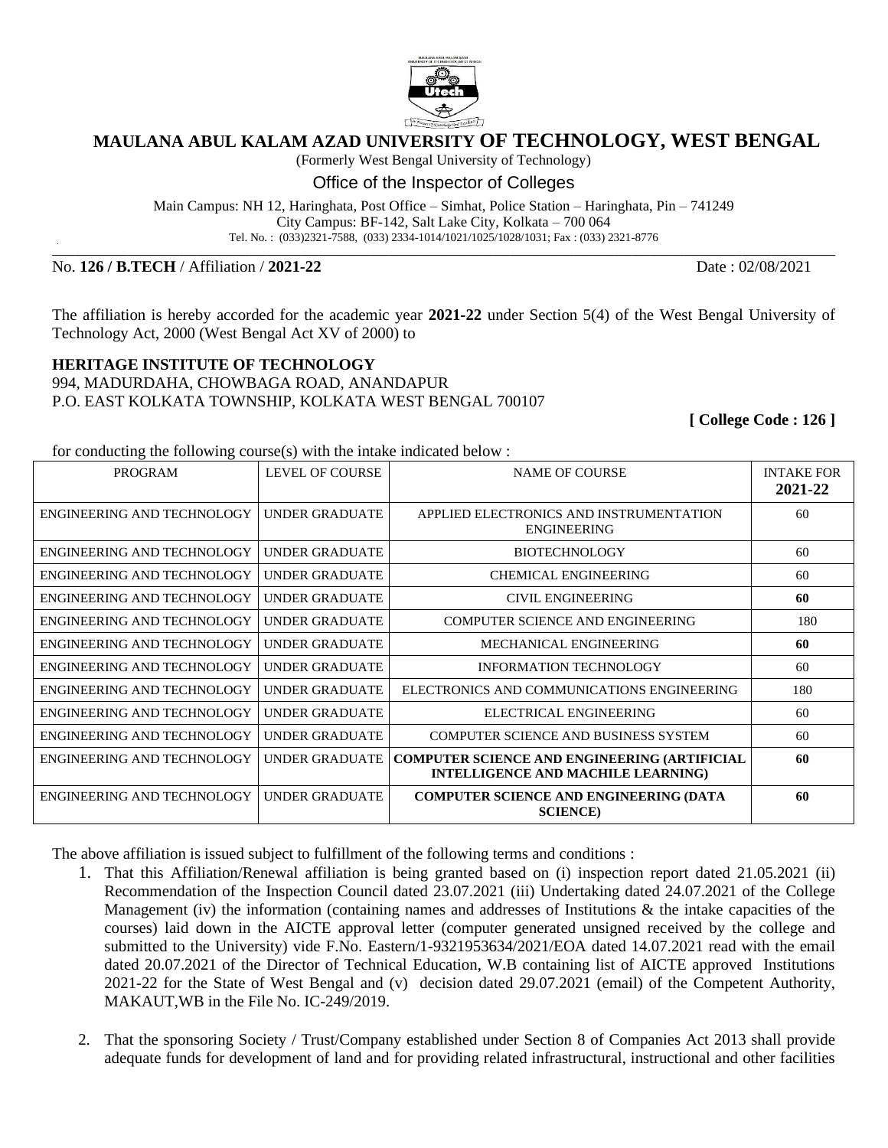

## **MAULANA ABUL KALAM AZAD UNIVERSITY OF TECHNOLOGY, WEST BENGAL**

(Formerly West Bengal University of Technology)

Office of the Inspector of Colleges

Main Campus: NH 12, Haringhata, Post Office – Simhat, Police Station – Haringhata, Pin – 741249 City Campus: BF-142, Salt Lake City, Kolkata – 700 064 Tel. No. : (033)2321-7588, (033) 2334-1014/1021/1025/1028/1031; Fax : (033) 2321-8776

**\_\_\_\_\_\_\_\_\_\_\_\_\_\_\_\_\_\_\_\_\_\_\_\_\_\_\_\_\_\_\_\_\_\_\_\_\_\_\_\_\_\_\_\_\_\_\_\_\_\_\_\_\_\_\_\_\_\_\_\_\_\_\_\_\_\_\_\_\_\_\_\_\_\_\_\_\_\_\_\_\_\_\_\_\_\_\_\_\_\_\_\_\_\_\_\_\_\_\_\_\_\_\_\_\_\_\_\_\_\_\_\_\_\_\_\_\_\_\_\_\_\_\_\_\_\_\_\_\_\_\_\_\_\_\_**

No. **126 / B.TECH** / Affiliation / **2021-22** Date : 02/08/2021

The affiliation is hereby accorded for the academic year **2021-22** under Section 5(4) of the West Bengal University of Technology Act, 2000 (West Bengal Act XV of 2000) to

## **HERITAGE INSTITUTE OF TECHNOLOGY**

994, MADURDAHA, CHOWBAGA ROAD, ANANDAPUR P.O. EAST KOLKATA TOWNSHIP, KOLKATA WEST BENGAL 700107

**[ College Code : 126 ]**

for conducting the following course(s) with the intake indicated below :

| <b>PROGRAM</b>             | LEVEL OF COURSE       | <b>NAME OF COURSE</b>                                                                            | <b>INTAKE FOR</b><br>2021-22 |
|----------------------------|-----------------------|--------------------------------------------------------------------------------------------------|------------------------------|
| ENGINEERING AND TECHNOLOGY | UNDER GRADUATE        | APPLIED ELECTRONICS AND INSTRUMENTATION<br><b>ENGINEERING</b>                                    | 60                           |
| ENGINEERING AND TECHNOLOGY | UNDER GRADUATE        | <b>BIOTECHNOLOGY</b>                                                                             | 60                           |
| ENGINEERING AND TECHNOLOGY | <b>UNDER GRADUATE</b> | <b>CHEMICAL ENGINEERING</b>                                                                      | 60                           |
| ENGINEERING AND TECHNOLOGY | <b>UNDER GRADUATE</b> | CIVIL ENGINEERING                                                                                | 60                           |
| ENGINEERING AND TECHNOLOGY | UNDER GRADUATE        | <b>COMPUTER SCIENCE AND ENGINEERING</b>                                                          | 180                          |
| ENGINEERING AND TECHNOLOGY | <b>UNDER GRADUATE</b> | MECHANICAL ENGINEERING                                                                           | 60                           |
| ENGINEERING AND TECHNOLOGY | UNDER GRADUATE        | <b>INFORMATION TECHNOLOGY</b>                                                                    | 60                           |
| ENGINEERING AND TECHNOLOGY | UNDER GRADUATE        | ELECTRONICS AND COMMUNICATIONS ENGINEERING                                                       | 180                          |
| ENGINEERING AND TECHNOLOGY | UNDER GRADUATE        | ELECTRICAL ENGINEERING                                                                           | 60                           |
| ENGINEERING AND TECHNOLOGY | UNDER GRADUATE        | <b>COMPUTER SCIENCE AND BUSINESS SYSTEM</b>                                                      | 60                           |
| ENGINEERING AND TECHNOLOGY | UNDER GRADUATE        | <b>COMPUTER SCIENCE AND ENGINEERING (ARTIFICIAL</b><br><b>INTELLIGENCE AND MACHILE LEARNING)</b> | 60                           |
| ENGINEERING AND TECHNOLOGY | <b>UNDER GRADUATE</b> | <b>COMPUTER SCIENCE AND ENGINEERING (DATA</b><br><b>SCIENCE</b> )                                | 60                           |

The above affiliation is issued subject to fulfillment of the following terms and conditions :

- 1. That this Affiliation/Renewal affiliation is being granted based on (i) inspection report dated 21.05.2021 (ii) Recommendation of the Inspection Council dated 23.07.2021 (iii) Undertaking dated 24.07.2021 of the College Management (iv) the information (containing names and addresses of Institutions & the intake capacities of the courses) laid down in the AICTE approval letter (computer generated unsigned received by the college and submitted to the University) vide F.No. Eastern/1-9321953634/2021/EOA dated 14.07.2021 read with the email dated 20.07.2021 of the Director of Technical Education, W.B containing list of AICTE approved Institutions 2021-22 for the State of West Bengal and (v) decision dated 29.07.2021 (email) of the Competent Authority, MAKAUT,WB in the File No. IC-249/2019.
- 2. That the sponsoring Society / Trust/Company established under Section 8 of Companies Act 2013 shall provide adequate funds for development of land and for providing related infrastructural, instructional and other facilities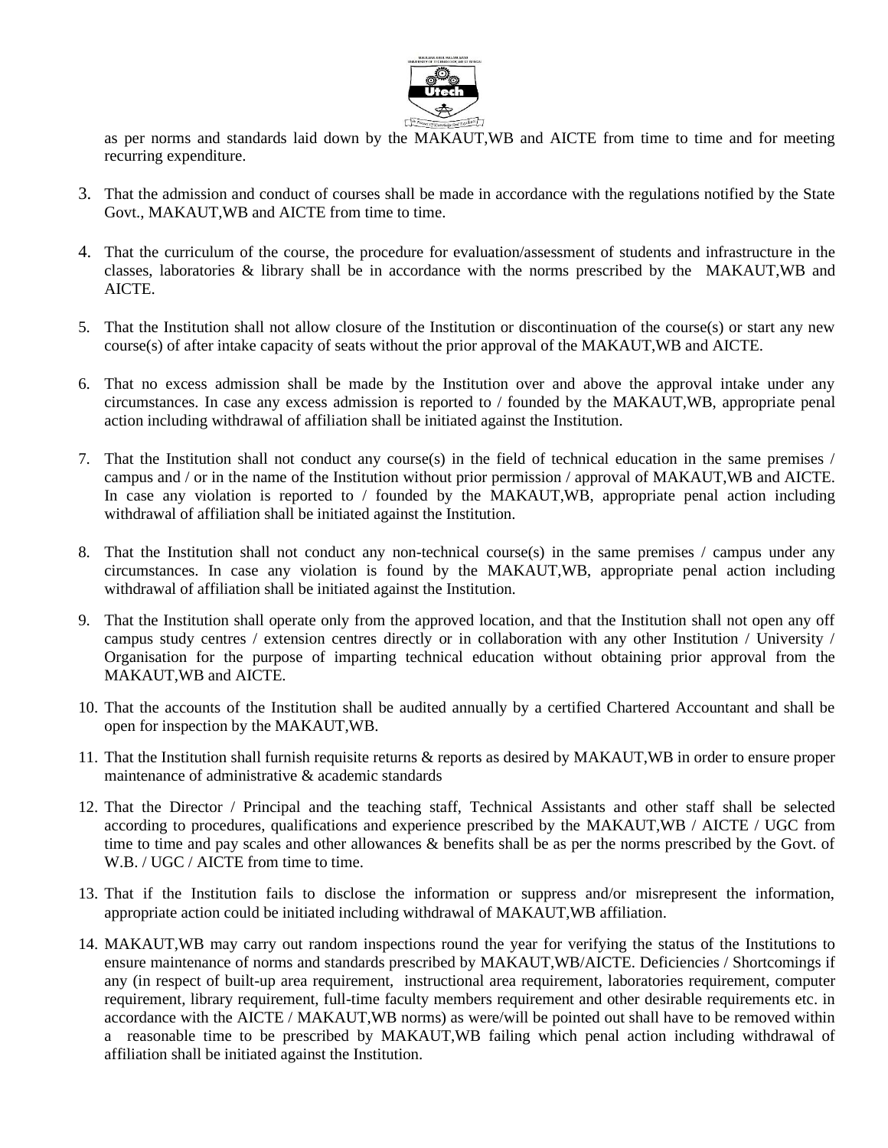

as per norms and standards laid down by the MAKAUT,WB and AICTE from time to time and for meeting recurring expenditure.

- 3. That the admission and conduct of courses shall be made in accordance with the regulations notified by the State Govt., MAKAUT,WB and AICTE from time to time.
- 4. That the curriculum of the course, the procedure for evaluation/assessment of students and infrastructure in the classes, laboratories & library shall be in accordance with the norms prescribed by the MAKAUT,WB and AICTE.
- 5. That the Institution shall not allow closure of the Institution or discontinuation of the course(s) or start any new course(s) of after intake capacity of seats without the prior approval of the MAKAUT,WB and AICTE.
- 6. That no excess admission shall be made by the Institution over and above the approval intake under any circumstances. In case any excess admission is reported to / founded by the MAKAUT,WB, appropriate penal action including withdrawal of affiliation shall be initiated against the Institution.
- 7. That the Institution shall not conduct any course(s) in the field of technical education in the same premises / campus and / or in the name of the Institution without prior permission / approval of MAKAUT,WB and AICTE. In case any violation is reported to / founded by the MAKAUT, WB, appropriate penal action including withdrawal of affiliation shall be initiated against the Institution.
- 8. That the Institution shall not conduct any non-technical course(s) in the same premises / campus under any circumstances. In case any violation is found by the MAKAUT,WB, appropriate penal action including withdrawal of affiliation shall be initiated against the Institution.
- 9. That the Institution shall operate only from the approved location, and that the Institution shall not open any off campus study centres / extension centres directly or in collaboration with any other Institution / University / Organisation for the purpose of imparting technical education without obtaining prior approval from the MAKAUT,WB and AICTE.
- 10. That the accounts of the Institution shall be audited annually by a certified Chartered Accountant and shall be open for inspection by the MAKAUT,WB.
- 11. That the Institution shall furnish requisite returns & reports as desired by MAKAUT,WB in order to ensure proper maintenance of administrative & academic standards
- 12. That the Director / Principal and the teaching staff, Technical Assistants and other staff shall be selected according to procedures, qualifications and experience prescribed by the MAKAUT,WB / AICTE / UGC from time to time and pay scales and other allowances & benefits shall be as per the norms prescribed by the Govt. of W.B. / UGC / AICTE from time to time.
- 13. That if the Institution fails to disclose the information or suppress and/or misrepresent the information, appropriate action could be initiated including withdrawal of MAKAUT,WB affiliation.
- 14. MAKAUT,WB may carry out random inspections round the year for verifying the status of the Institutions to ensure maintenance of norms and standards prescribed by MAKAUT,WB/AICTE. Deficiencies / Shortcomings if any (in respect of built-up area requirement, instructional area requirement, laboratories requirement, computer requirement, library requirement, full-time faculty members requirement and other desirable requirements etc. in accordance with the AICTE / MAKAUT,WB norms) as were/will be pointed out shall have to be removed within a reasonable time to be prescribed by MAKAUT,WB failing which penal action including withdrawal of affiliation shall be initiated against the Institution.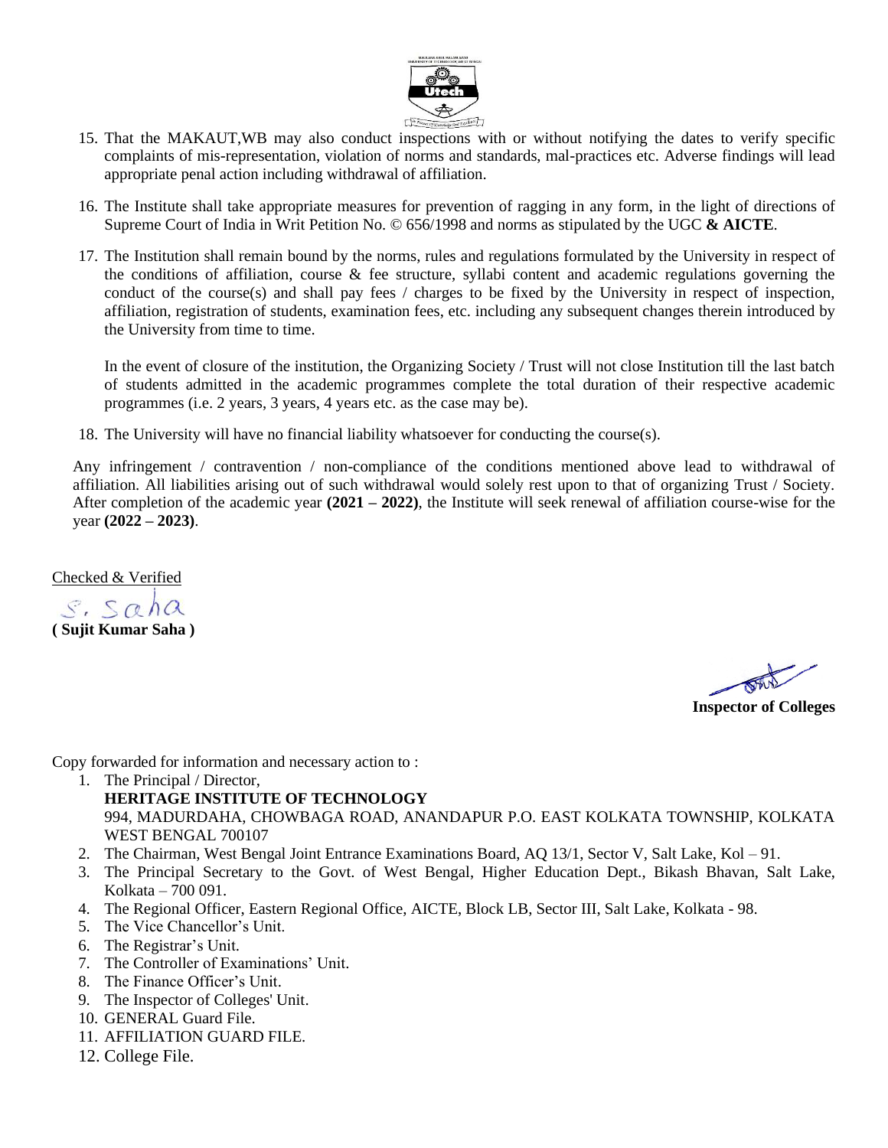

- 15. That the MAKAUT,WB may also conduct inspections with or without notifying the dates to verify specific complaints of mis-representation, violation of norms and standards, mal-practices etc. Adverse findings will lead appropriate penal action including withdrawal of affiliation.
- 16. The Institute shall take appropriate measures for prevention of ragging in any form, in the light of directions of Supreme Court of India in Writ Petition No. © 656/1998 and norms as stipulated by the UGC **& AICTE**.
- 17. The Institution shall remain bound by the norms, rules and regulations formulated by the University in respect of the conditions of affiliation, course & fee structure, syllabi content and academic regulations governing the conduct of the course(s) and shall pay fees / charges to be fixed by the University in respect of inspection, affiliation, registration of students, examination fees, etc. including any subsequent changes therein introduced by the University from time to time.

In the event of closure of the institution, the Organizing Society / Trust will not close Institution till the last batch of students admitted in the academic programmes complete the total duration of their respective academic programmes (i.e. 2 years, 3 years, 4 years etc. as the case may be).

18. The University will have no financial liability whatsoever for conducting the course(s).

Any infringement / contravention / non-compliance of the conditions mentioned above lead to withdrawal of affiliation. All liabilities arising out of such withdrawal would solely rest upon to that of organizing Trust / Society. After completion of the academic year **(2021 – 2022)**, the Institute will seek renewal of affiliation course-wise for the year **(2022 – 2023)**.

Checked & Verified

 $s.$  Saha **( Sujit Kumar Saha )**

**Inspector of Colleges**

Copy forwarded for information and necessary action to :

- 1. The Principal / Director,
	- **HERITAGE INSTITUTE OF TECHNOLOGY** 994, MADURDAHA, CHOWBAGA ROAD, ANANDAPUR P.O. EAST KOLKATA TOWNSHIP, KOLKATA WEST BENGAL 700107
	- 2. The Chairman, West Bengal Joint Entrance Examinations Board, AQ 13/1, Sector V, Salt Lake, Kol 91.
	- 3. The Principal Secretary to the Govt. of West Bengal, Higher Education Dept., Bikash Bhavan, Salt Lake, Kolkata – 700 091.
	- 4. The Regional Officer, Eastern Regional Office, AICTE, Block LB, Sector III, Salt Lake, Kolkata 98.
	- 5. The Vice Chancellor's Unit.
	- 6. The Registrar's Unit.
	- 7. The Controller of Examinations' Unit.
	- 8. The Finance Officer's Unit.
	- 9. The Inspector of Colleges' Unit.
	- 10. GENERAL Guard File.
	- 11. AFFILIATION GUARD FILE.
	- 12. College File.